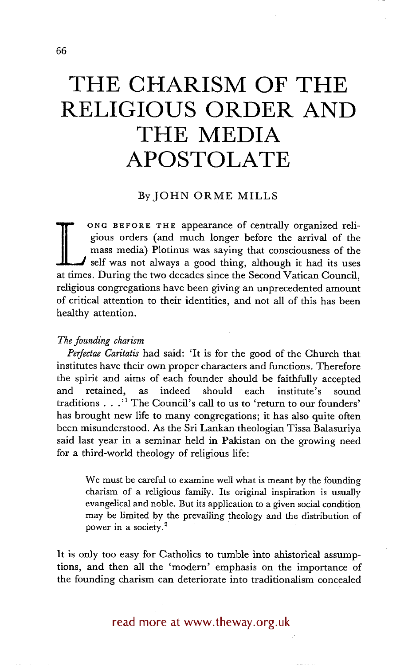# **THE CHARISM OF THE RELIGIOUS ORDER AND THE MEDIA APOSTOLATE**

## By JOHN ORME MILLS

gious orders (and much longer before the arrival of the mass media) Plotinus was saying that consciousness of the self was not always a good thing, although it had its uses at times. During the two decades since the Second ONG **BEFORE THE** appearance of centrally organized religious orders (and much longer before the arrival of the mass media) Plotinus was saying that consciousness of the self was not always a good thing, although it had its uses religious congregations have been giving an unprecedented amount of critical attention to their identities, and not all of this has been healthy attention.

### *The founding charism*

*Perfectae Caritatis* had said: 'It is for the good of the Church that institutes have their own proper characters and functions. Therefore the spirit and aims of each founder should be faithfully accepted and retained, as indeed should each institute's sound traditions . . .'1 The Council's call to us to 'return to our founders' has brought new life to many congregations; it has also quite often been misunderstood. As the Sri Lankan theologian Tissa Balasuriya said last year in a seminar held in Pakistan on the growing need for a third-world theology of religious life:

We must be careful to examine well what is meant by the founding charism of a religious family. Its original inspiration is usually evangelical and noble. But its application to a given social condition may be limited by the prevailing theology and the distribution of power in a society.<sup>2</sup>

It is only too easy for Catholics to tumble into ahistorical assumptions, and then all the 'modern' emphasis on the importance of the founding charism can deteriorate into traditionalism concealed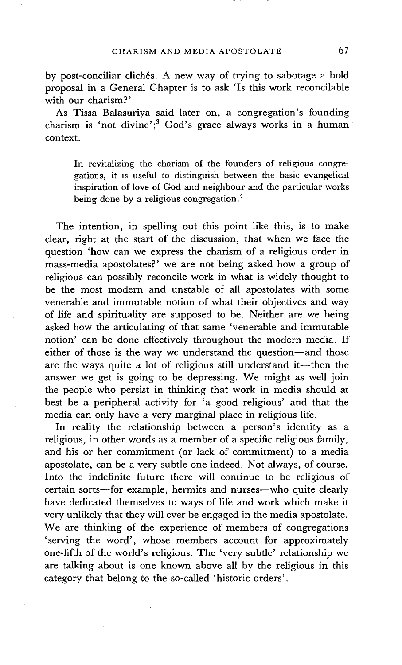by post-conciliar clichés. A new way of trying to sabotage a bold proposal in a General Chapter is to ask 'Is this work reconcilable with our charism?'

As Tissa Balasuriya said later on, a congregation's founding charism is 'not divine';<sup>3</sup> God's grace always works in a human context.

In revitalizing the charism of the founders of religious congregations, it is useful to distinguish between the basic evangelical inspiration of love of God and neighbour and the particular works being done by a religious congregation.<sup>4</sup>

The intention, in spelling out this point like this, is to make clear, right at the start of the discussion, that when we face the question 'how can we express the charism of a religious order in mass-media apostolates?' we are not being asked how a group of religious can possibly reconcile work in what is widely thought to be the most modern and unstable of all apostolates with some venerable and immutable notion of what their objectives and way of life and spirituality are supposed to be. Neither are we being asked how the articulating of that same 'venerable and immutable notion' can be done effectively throughout the modern media. If either of those is the way we understand the question—and those are the ways quite a lot of religious still understand it--then the answer we get is going to be depressing. We might as well join the people who persist in thinking that work in media should at best be a peripheral activity for 'a good religious' and that the media can only have a very marginal place in religious life.

In reality the relationship between a person's identity as a religious, in other words as a member of a specific religious family, and his or her commitment (or lack of commitment) to a media apostolate, can be a very subtle one indeed. Not always, of course. Into the indefinite future there will continue to be religious of certain sorts-for example, hermits and nurses-who quite clearly have dedicated themselves to ways of life and work which make it very unlikely that they will ever be engaged in the media apostolate. We are thinking of the experience of members of congregations 'serving the word', whose members account for approximately one-fifth of the world's religious. The 'very subtle' relationship we are talking about is one known above all by the religious in this category that belong to the so-called 'historic orders'.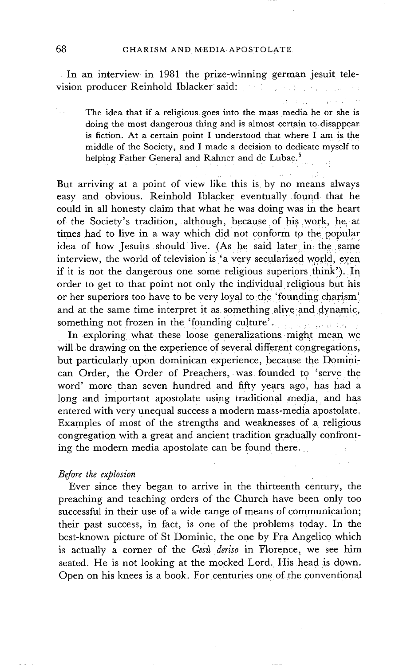In an interview in 1981 the prize-winning german jesuit television producer Reinhold Iblacker said: : . .

The idea that if a religious goes into the mass media he or she is doing the most dangerous thing and is almost certain to disappear is fiction. At a certain point I understood that where I am is the middle of the Society, and I made a decision to dedicate myself to helping Father General and Rahner and de Lubac.<sup>5</sup>

a na mara a shekara

But arriving at a point of view like this is by no means always easy and obvious. Reinhold Iblacker eventually found that he could in all honesty claim that what he was doing was in the heart of the Society's tradition, although, because of his work, he at times had to live in a way which did not conform to the popular idea of how Jesuits should live. (As he said later in the same interview, the world of television is 'a very secularized world, even if it is not the dangerous one some religious superiors think'). In order to get to that point not only the individual religious but his or her superiors too have to be very loyal to the 'founding charism; and at the same time interpret it as something alive and dynamic, something not frozen in the.='founding culture'...: , ........ i : ..

In exploring what these loose generalizations might mean we will be drawing on the experience of several different congregations, but particularly upon dominican experience, because the Dominican Order, the Order of Preachers, was founded to 'serve the word' more than seven hundred and fifty years ago, has had a long and important apostolate using traditional media, and has entered with very unequal success a modern mass-media apostolate, Examples of most of the strengths and weaknesses of a. religious congregation with a great and ancient tradition gradually confronting the modern media apostolate can be found there.

### *Before the explosion*

Ever since they began to arrive in the thirteenth century, the preaching and teaching orders of the Church have been only too successful in their use of a wide range of means of communication; their past success, in fact, is one of the problems today. In the best-known picture of St Dominic, the one by Fra Angelico which is actually a corner of the *Gesù deriso* in Florence, we see him seated. He is not looking at the mocked Lord. His head is down. Open on his knees is a book. For centuries one of the conventional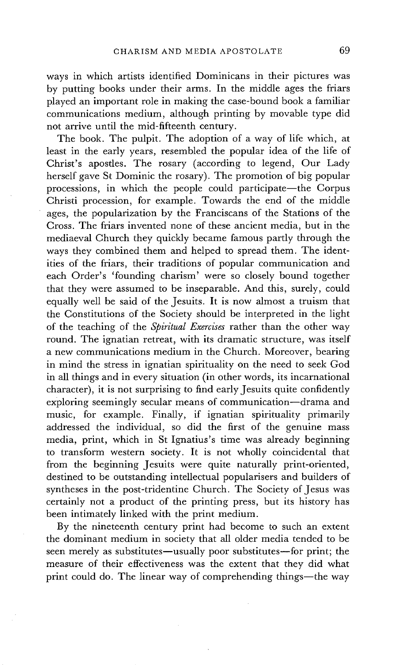ways in which artists identified Dominicans in their pictures was by putting books under their arms. In the middle ages the friars played an important role in making the case-bound book a familiar communications medium, although printing by movable type did not arrive until the mid-fifteenth century.

The book. The pulpit. The adoption of a way of life which, at least in the early years, resembled the popular idea of the life of Christ's apostles. The rosary (according to legend, Our Lady herself gave St Dominic the rosary). The promotion of big popular processions, in which the people could participate—the Corpus Christi procession, for example. Towards the end of the middle ages, the popularization by the Franciscans of the Stations of the Cross. The friars invented none of these ancient media, but in the mediaeval Church they quickly became famous partly through the ways they combined them and helped to spread them. The identities of the friars, their traditions of popular communication and each Order's 'founding charism' were so closely bound together that they were assumed to be inseparable. And this, surely, could equally well be said of the Jesuits. It is now almost a truism that the Constitutions of the Society should be interpreted in the light of the teaching of the *Spiritual Exercises* rather than the other way round. The ignatian retreat, with its dramatic structure, was itself a new communications medium in the Church. Moreover, bearing in mind the stress in ignatian spirituality on the need to seek God in all things and in every situation (in other words, its incarnational character), it is not surprising to find early Jesuits quite confidently exploring seemingly secular means of communication-drama and music, for example. Finally, if ignatian spirituality primarily addressed the individual, so did the first of the genuine mass media, print, which in St Ignatius's time was already beginning to transform western society. It is not wholly coincidental that from the beginning Jesuits were quite naturally print-oriented, destined to be outstanding intellectual popularisers and builders of syntheses in the post-tridentine Church. The Society of Jesus was certainly not a product of the printing press, but its history has been intimately linked with the print medium.

By the nineteenth century print had become to such an extent the dominant medium in society that all older media tended to be seen merely as substitutes—usually poor substitutes—for print; the measure of their effectiveness was the extent that they did what print could do. The linear way of comprehending things--the way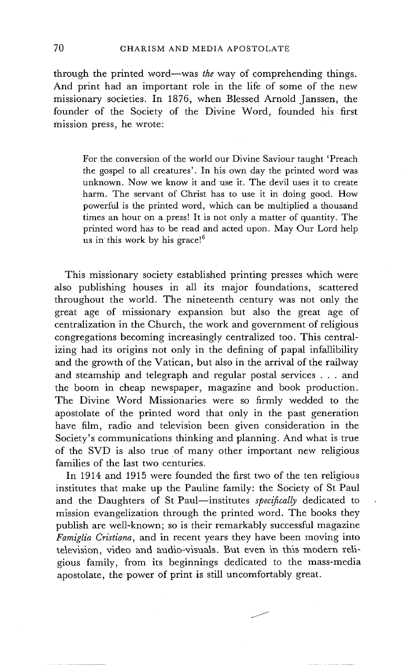through the printed word--was *the* way of comprehending things. And print had an important role in the life of some of the new missionary societies. In 1876, when Blessed Arnold Janssen, the founder of the Society of the Divine Word, founded his first mission press, he wrote:

For the conversion of the world our Divine Saviour taught 'Preach the gospel to all creatures'. In his own day the printed word was unknown. Now we know it and use it. The devil uses it to create harm. The servant of Christ has to use it in doing good. How powerful is the printed word, which can be multiplied a thousand times an hour on a press! It is not only a matter of quantity. The printed word has to be read and acted upon. May Our Lord help us in this work by his grace!<sup>6</sup>

This missionary society established printing presses which were also publishing houses in all its major foundations, scattered throughout the world. The nineteenth century was not only the great age of missionary expansion but also the great age of centralization in the Church, the work and government of religious congregations becoming increasingly centralized too. This centralizing had its origins not only in the defining of papal infallibility and the growth of the Vatican, but also in the arrival of the railway and steamship and telegraph and regular postal services . . . and the boom in cheap newspaper, magazine and book production. The Divine Word Missionaries were so firmly wedded to the apostolate of the printed word that only in the past generation have film, radio and television been given consideration in the Society's communications thinking and planning. And what is true of the SVD is also true of many other important new religious families of the last two centuries.

In 1914 and 1915 were founded the first two of the ten religious institutes that make up the Pauline family: the Society of St Paul and the Daughters of St Paul-institutes *specifically* dedicated to mission evangelization through the printed word. The books they publish are well-known; so is their remarkably successful magazine *Famiglia Cristiana,* and in recent years they have been moving into television, video and audio-visuals. But even in this modern religious family, from its beginnings dedicated to the mass-media apostolate, the power of print is still uncomfortably great.

<u>j</u>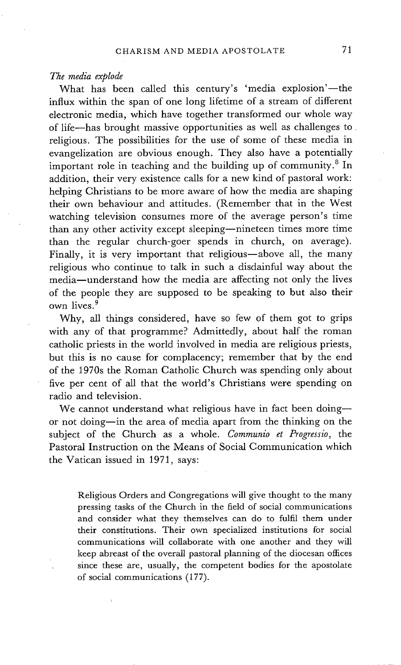#### *The media explode*

What has been called this century's 'media explosion'—the influx within the span of one long lifetime of a stream of different electronic media, which have together transformed our whole way of life--has brought massive opportunities as well as challenges to religious. The possibilities for the use of some of these media in evangelization are obvious enough. They also have a potentially important role in teaching and the building up of community.<sup>8</sup> In addition, their very existence calls for a new kind of pastoral work: helping Christians to be more aware of how the media are shaping their own behaviour and attitudes. (Remember that in the West watching television consumes more of the average person's time than any other activity except sleeping--nineteen times more time than the regular church-goer spends in church, on average). Finally, it is very important that religious--above all, the many religious who continue to talk in such a disdainful way about the media--understand how the media are affecting not only the lives of the people they are supposed to be speaking to but also their own lives. 9

Why, all things considered, have so few of them got to grips with any of that programme? Admittedly, about half the roman catholic priests in the world involved in media are religious priests, but this is no cause for complacency; remember that by the end of the 1970s the Roman Catholic Church was spending only about five per cent of all that the world's Christians were spending on radio and television.

We cannot understand what religious have in fact been doingor not doing--in the area of media apart from the thinking on the subject of the Church as a whole. *Communio et Progressio,* the Pastoral Instruction on the Means of Social Communication which the Vatican issued in 1971, says:

Religious Orders and Congregations will give thought to the many pressing tasks of the Church in the field of social communications and consider what they themselves can do to fulfil them under their constitutions. Their own specialized institutions for social communications will collaborate with one another and they will keep abreast of the overall pastoral planning of the diocesan offices since these are, usually, the competent bodies for the apostolate of social communications (177).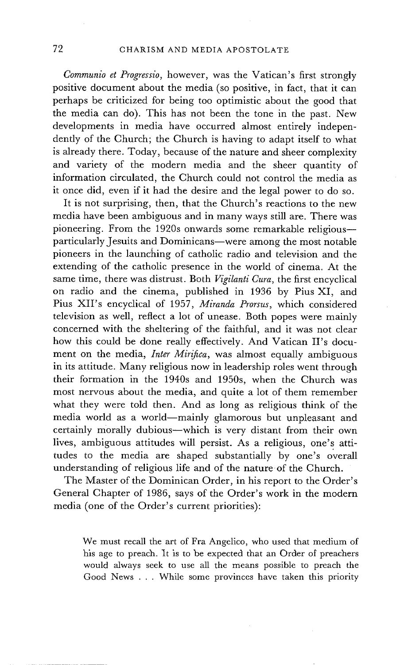*Communio et Progressio,* however, was the Vatican's first strongly positive document about the media (so positive, in fact, that it can perhaps be criticized for being too optimistic about the good that the media can do). This has not been the tone in the past. New developments in media have occurred almost entirely independently of the Church; the Church is having to adapt itself to what is already there. Today, because of the nature and sheer complexity and variety of the modern media and the sheer quantity of information circulated, the Church could not control the media as it once did, even if it had the desire and the legal power to do so.

It is not surprising, then, that the Church's reactions to the new media have been ambiguous and in many ways still are. There was pioneering. From the 1920s onwards some remarkable religious-particularly Jesuits and Dominicans--were among the most notable pioneers in the launching of catholic radio and television and the extending of the catholic presence in the world of cinema. At the same time, there was distrust. Both *Vigilanti Cura,* the first encyclical on radio and the cinema, published in 1936 by Pius XI, and Pius XII's encyclical of 1957, *Miranda Prorsus,* which considered television as well, reflect a lot of unease. Both popes were mainly concerned with the sheltering of the faithful, and it was not clear how this could be done really effectively. And Vatican II's document on the media, *Inter Mirifica,* was almost equally ambiguous in its attitude. Many religious now in leadership roles went through their formation in the 1940s and 1950s, when the Church was most nervous about the media, and quite a lot of them remember what they were told then. And as long as religious think of the media world as a world-mainly glamorous but unpleasant and certainly morally dubious--which is very distant from their own lives, ambiguous attitudes will persist. As a religious, one's attitudes to the media are shaped substantially by one's overall understanding of religious life and of the nature of the Church.

The Master of the Dominican Order, in his report to the Order's General Chapter of 1986, says of the Order's work in the modern media (one of the Order's current priorities):

We must recall the art of Fra Angelico, who used that medium of his age to preach. It is to be expected that an Order of preachers would always seek to use all the means possible to preach the Good News . . . While some provinces have taken this priority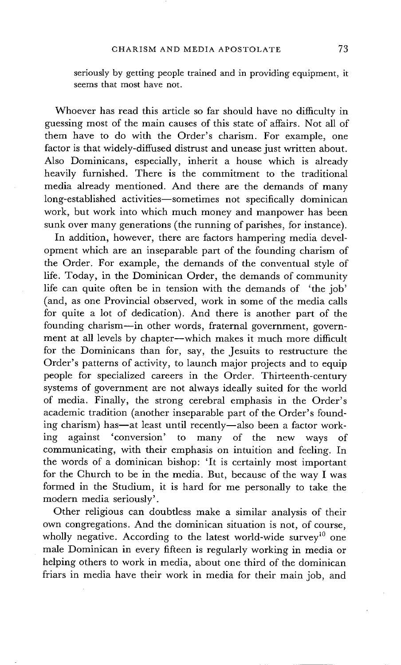seriously by getting people trained and in providing equipment, it seems that most have not.

Whoever has read this article so far should have no difficulty in guessing most of the main causes of this state of affairs. Not all of them have to do with the Order's charism. For example, one factor is that widely-diffused distrust and unease just written about. Also Dominicans, especially, inherit a house which is already heavily furnished. There is the commitment to the traditional media already mentioned. And there are the demands of many long-established activities-sometimes not specifically dominican work, but work into which much money and manpower has been sunk over many generations (the running of parishes, for instance).

In addition, however, there are factors hampering media development which are an inseparable part of the founding charism of the Order. For example, the demands of the conventual style of life. Today, in the Dominican Order, the demands of community life can quite often be in tension with the demands of 'the job' (and, as one Provincial observed, work in some of the media calls for quite a lot of dedication). And there is another part of the founding charism--in other words, fraternal government, government at all levels by chapter--which makes it much more difficult for the Dominicans than for, say, the Jesuits to restructure the Order's patterns of activity, to launch major projects and to equip people for specialized careers in the Order. Thirteenth-century systems of government are not always ideally suited for the world of media. Finally, the strong cerebral emphasis in the Order's academic tradition (another inseparable part of the Order's founding charism) has—at least until recently—also been a factor work-<br>ing against 'conversion' to many of the new ways of against 'conversion' to many of the new ways of communicating, with their emphasis on intuition and feeling. In the words of a dominican bishop: 'It is certainly most important for the Church to be in the media. But, because of the way I was formed in the Studium, it is hard for me personally to take the modern media seriously'.

Other religious can doubtless make a similar analysis of their own congregations. And the dominican situation is not, of course, wholly negative. According to the latest world-wide survey<sup>10</sup> one male Dominican in every fifteen is regularly working in media or helping others to work in media, about one third of the dominican friars in media have their work in media for their main job, and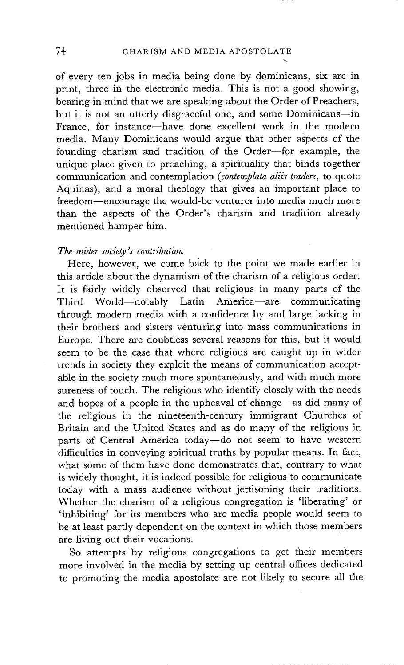of every ten jobs in media being done by dominicans, six are in print, three in the electronic media. This is not a good showing, bearing in mind that we are speaking about the Order of Preachers, but it is not an utterly disgraceful one, and some Dominicans-in France, for instance-have done excellent work in the modern media. Many Dominicans would argue that other aspects of the founding charism and tradition of the Order-for example, the unique place given to preaching, a spirituality that binds together communication and contemplation *(contemplata aliis tradere,* to quote Aquinas), and a moral theology that gives an important place to freedom-encourage the would-be venturer into media much more than the aspects of the Order's charism and tradition already mentioned hamper him.

#### *The wider society's contribution*

Here, however, we come back to the point we made earlier in this article about the dynamism of the charism of a religious order. It is fairly widely observed that religious in many parts of the Third World-notably Latin America-are communicating through modern media with a confidence by and large lacking in their brothers and sisters venturing into mass communications in Europe. There are doubtless several reasons for this, but it would seem to be the case that where religious are caught up in wider trends in society they exploit the means of communication acceptable in the society much more spontaneously, and with much more sureness of touch. The religious who identify closely with the needs and hopes of a people in the upheaval of change-as did many of the religious in the nineteenth-century immigrant Churches of Britain and the United States and as do many of the religious in parts of Central America today-do not seem to have western difficulties in conveying spiritual truths by popular means. In fact, what some of them have done demonstrates that, contrary to what is widely thought, it is indeed possible for religious to communicate today with a mass audience without jettisoning their traditions. Whether the charism of a religious congregation is 'liberating' or 'inhibiting' for its members who are media people would seem to be at least partly dependent on the context in which those members are living out their vocations.

So attempts by religious congregations to get their members more involved in the media by setting up central offices dedicated to promoting the media apostolate are not likely to secure all the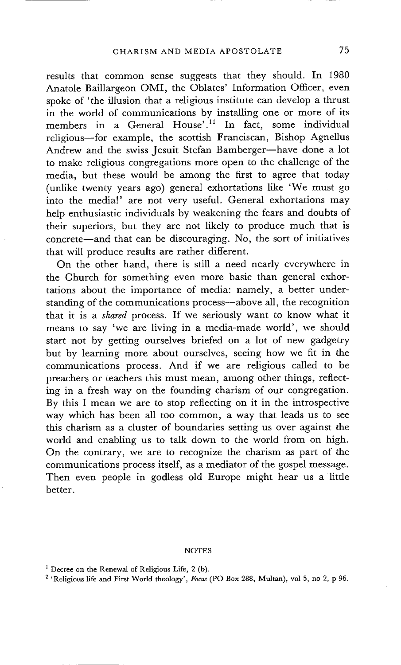results that common sense suggests that they should. In 1980 Anatole Baillargeon OMI, the Oblates' Information Officer, even spoke of 'the illusion that a religious institute can develop a thrust in the world of communications by installing one or more of its members in a General House'.<sup>11</sup> In fact, some individual religious--for example, the scottish Franciscan, Bishop Agnellus Andrew and the swiss Jesuit Stefan Bamberger-have done a lot to make religious congregations more open to the challenge of the media, but these would be among the first to agree that today (unlike twenty years ago) general exhortations like 'We must go into the media!' are not very useful. General exhortations may help enthusiastic individuals by weakening the fears and doubts of their superiors, but they are not likely to produce much that is concrete--and that can be discouraging. No, the sort of initiatives that will produce results are rather different.

On the other hand, there is still a need nearly everywhere in the Church for something even more basic than general exhortations about the importance of media: namely, a better understanding of the communications process-above all, the recognition that it is a *shared* process. If we seriously want to know what it means to say 'we are living in a media-made world', we should start not by getting ourselves briefed on a lot of new gadgetry but by learning more about ourselves, seeing how we fit in the communications process. And if we are religious called to be preachers or teachers this must mean, among other things, reflecting in a fresh way on the founding charism of our congregation. By this I mean we are to stop reflecting on it in the introspective way which has been all too common, a way that leads us to see this charism as a cluster of boundaries setting us over against the world and enabling us to talk down to the world from on high. On the contrary, we are to recognize the charism as part of the communications process itself, as a mediator of the gospel message. Then even people in godless old Europe might hear us a little better.

#### **NOTES**

2 'Religious life and First World theology', *Focus* (PO Box 288, Multan), vol 5, no 2, p 96.

<sup>&</sup>lt;sup>1</sup> Decree on the Renewal of Religious Life, 2 (b).